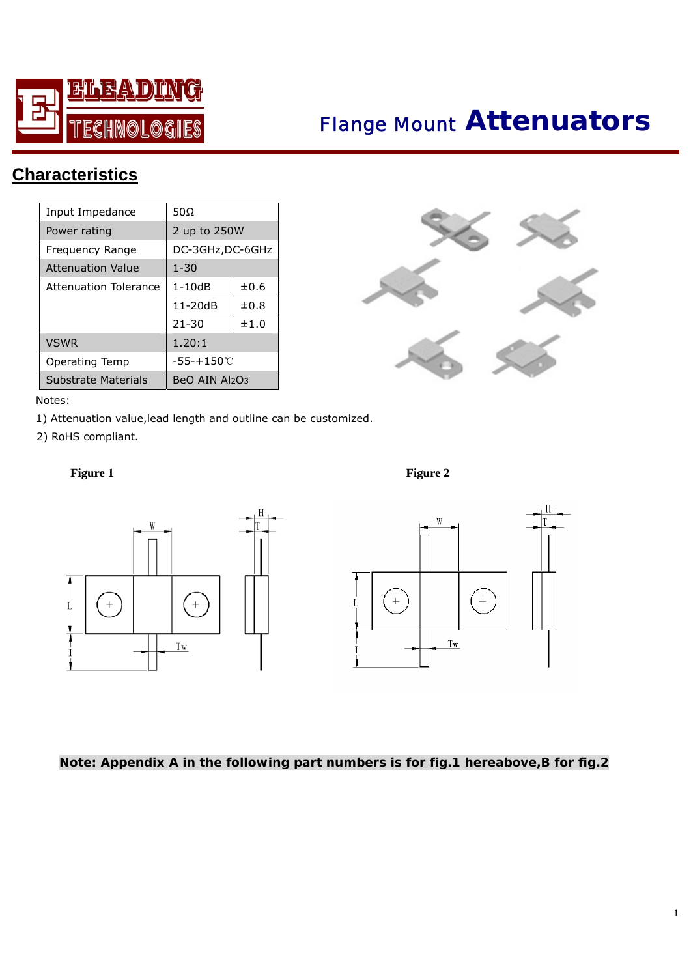

# *Flange Mount* **Attenuators**

## **Characteristics**

| Input Impedance          | 50 $\Omega$      |           |
|--------------------------|------------------|-----------|
| Power rating             | 2 up to 250W     |           |
| Frequency Range          | DC-3GHz, DC-6GHz |           |
| <b>Attenuation Value</b> | $1 - 30$         |           |
| Attenuation Tolerance    | $1 - 10dB$       | $\pm 0.6$ |
|                          | $11 - 20dB$      | $\pm 0.8$ |
|                          | $21 - 30$        | ±1.0      |
| <b>VSWR</b>              | 1.20:1           |           |
| Operating Temp           | -55-+150℃        |           |
| Substrate Materials      | BeO AIN Al2O3    |           |



#### Notes:

1) Attenuation value,lead length and outline can be customized.

2) RoHS compliant.

**Figure 1** Figure 2





### **Note: Appendix A in the following part numbers is for fig.1 hereabove,B for fig.2**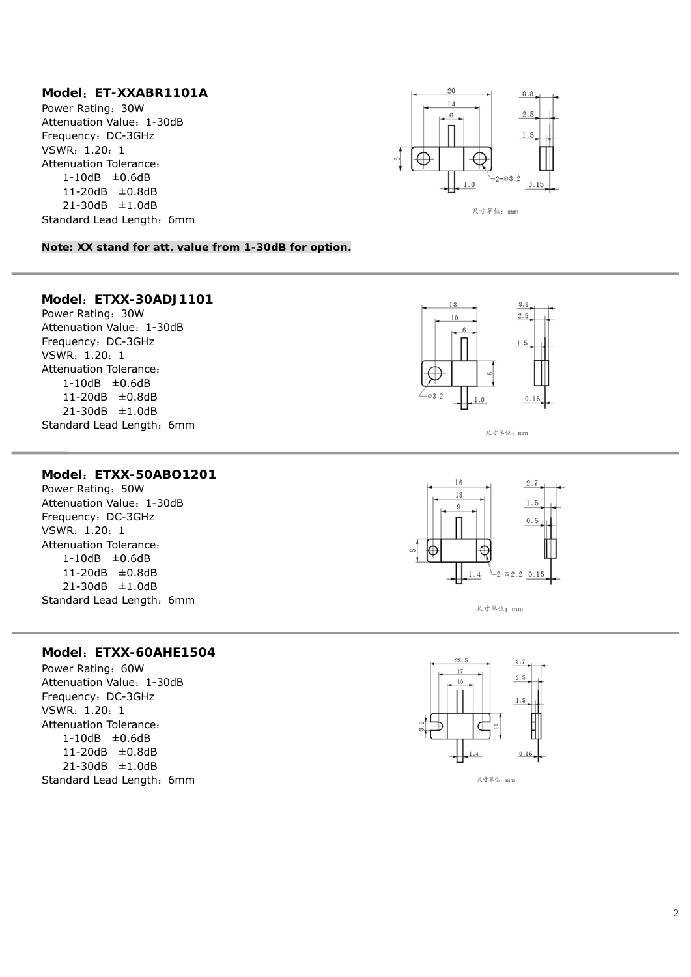#### **Model**:**ET-XXABR1101A**

Power Rating:30W Attenuation Value: 1-30dB Frequency: DC-3GHz VSWR:1.20:1 Attenuation Tolerance: 1-10dB ±0.6dB 11-20dB ±0.8dB 21-30dB ±1.0dB Standard Lead Length: 6mm



尺寸單位: mm

**Note: XX stand for att. value from 1-30dB for option.** 

#### **Model**:**ETXX-30ADJ1101**

Power Rating:30W Attenuation Value: 1-30dB Frequency: DC-3GHz VSWR:1.20:1 Attenuation Tolerance: 1-10dB ±0.6dB 11-20dB ±0.8dB 21-30dB ±1.0dB Standard Lead Length: 6mm



尺寸單位: mm

#### **Model**:**ETXX-50ABO1201**

 $\overline{\phantom{a}}$ 

Power Rating: 50W Attenuation Value: 1-30dB Frequency: DC-3GHz VSWR:1.20:1 Attenuation Tolerance: 1-10dB ±0.6dB 11-20dB ±0.8dB 21-30dB ±1.0dB Standard Lead Length: 6mm



尺寸單位: mm

#### **Model**:**ETXX-60AHE1504**

Power Rating:60W Attenuation Value: 1-30dB Frequency: DC-3GHz VSWR:1.20:1 Attenuation Tolerance: 1-10dB ±0.6dB 11-20dB ±0.8dB 21-30dB ±1.0dB Standard Lead Length: 6mm



尺寸單位: mm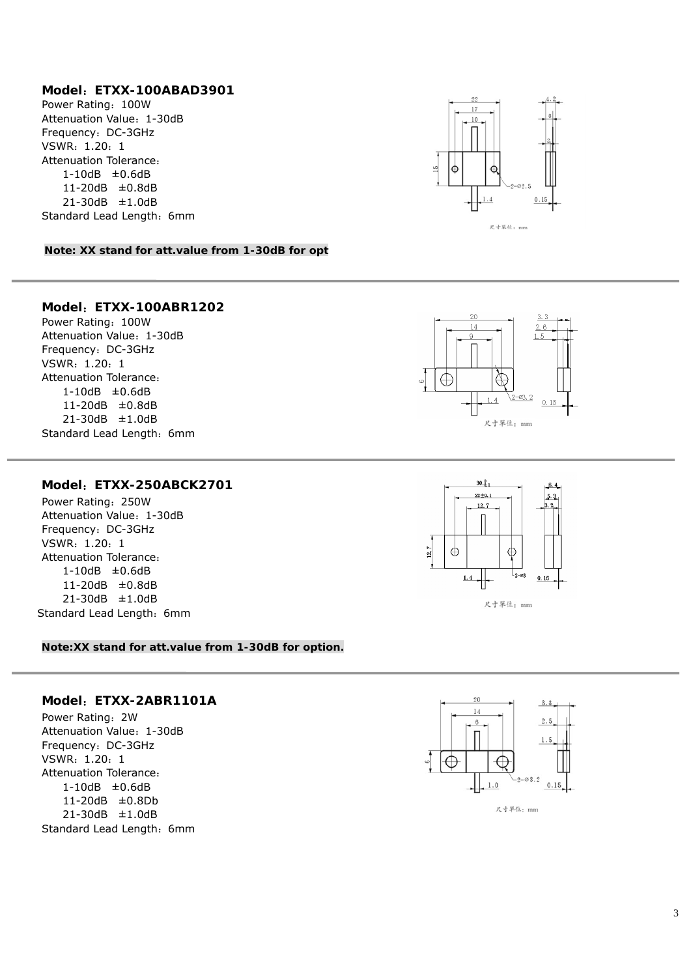#### **Model**:**ETXX-100ABAD3901**

Power Rating: 100W Attenuation Value: 1-30dB Frequency: DC-3GHz VSWR:1.20:1 Attenuation Tolerance: 1-10dB ±0.6dB 11-20dB ±0.8dB 21-30dB ±1.0dB Standard Lead Length: 6mm



**Note: XX stand for att.value from 1-30dB for opt** 

#### **Model**:**ETXX-100ABR1202**

Power Rating: 100W Attenuation Value: 1-30dB Frequency: DC-3GHz VSWR:1.20:1 Attenuation Tolerance: 1-10dB ±0.6dB 11-20dB ±0.8dB 21-30dB ±1.0dB Standard Lead Length: 6mm



#### **Model**:**ETXX-250ABCK2701**

Power Rating:250W Attenuation Value: 1-30dB Frequency: DC-3GHz VSWR:1.20:1 Attenuation Tolerance: 1-10dB ±0.6dB 11-20dB ±0.8dB 21-30dB ±1.0dB Standard Lead Length: 6mm



#### **Note:XX stand for att.value from 1-30dB for option.**

#### **Model**:**ETXX-2ABR1101A**

Power Rating:2W Attenuation Value: 1-30dB Frequency: DC-3GHz VSWR:1.20:1 Attenuation Tolerance: 1-10dB ±0.6dB 11-20dB ±0.8Db 21-30dB ±1.0dB Standard Lead Length: 6mm